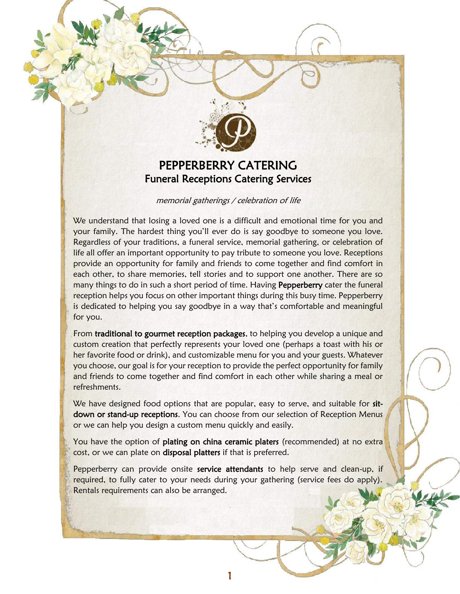

# PEPPERBERRY CATERING Funeral Receptions Catering Services

#### memorial gatherings / celebration of life

We understand that losing a loved one is a difficult and emotional time for you and your family. The hardest thing you'll ever do is say goodbye to someone you love. Regardless of your traditions, a funeral service, memorial gathering, or celebration of life all offer an important opportunity to pay tribute to someone you love. Receptions provide an opportunity for family and friends to come together and find comfort in each other, to share memories, tell stories and to support one another. There are so many things to do in such a short period of time. Having Pepperberry cater the funeral reception helps you focus on other important things during this busy time. Pepperberry is dedicated to helping you say goodbye in a way that's comfortable and meaningful for you.

From traditional to gourmet reception packages, to helping you develop a unique and custom creation that perfectly represents your loved one (perhaps a toast with his or her favorite food or drink), and customizable menu for you and your guests. Whatever you choose, our goal is for your reception to provide the perfect opportunity for family and friends to come together and find comfort in each other while sharing a meal or refreshments.

We have designed food options that are popular, easy to serve, and suitable for sitdown or stand-up receptions. You can choose from our selection of Reception Menus or we can help you design a custom menu quickly and easily.

You have the option of plating on china ceramic platers (recommended) at no extra cost, or we can plate on disposal platters if that is preferred.

Pepperberry can provide onsite service attendants to help serve and clean-up, if required, to fully cater to your needs during your gathering (service fees do apply). Rentals requirements can also be arranged.

1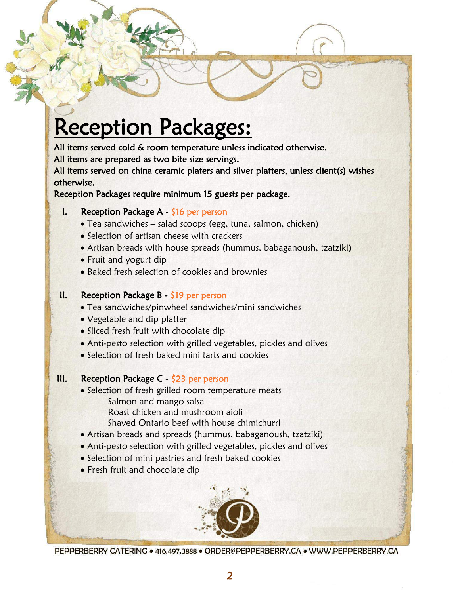# Reception Packages:

All items served cold & room temperature unless indicated otherwise.

All items are prepared as two bite size servings.

All items served on china ceramic platers and silver platters, unless client(s) wishes otherwise.

Reception Packages require minimum 15 guests per package.

# I. Reception Package A - \$16 per person

- Tea sandwiches salad scoops (egg, tuna, salmon, chicken)
- Selection of artisan cheese with crackers
- Artisan breads with house spreads (hummus, babaganoush, tzatziki)
- Fruit and yogurt dip
- Baked fresh selection of cookies and brownies

# II. Reception Package  $B - \frac{1}{2}$  per person

- Tea sandwiches/pinwheel sandwiches/mini sandwiches
- Vegetable and dip platter
- Sliced fresh fruit with chocolate dip
- Anti-pesto selection with grilled vegetables, pickles and olives
- Selection of fresh baked mini tarts and cookies

# III. Reception Package C - \$23 per person

- Selection of fresh grilled room temperature meats Salmon and mango salsa Roast chicken and mushroom aioli Shaved Ontario beef with house chimichurri
- Artisan breads and spreads (hummus, babaganoush, tzatziki)
- Anti-pesto selection with grilled vegetables, pickles and olives
- Selection of mini pastries and fresh baked cookies
- Fresh fruit and chocolate dip

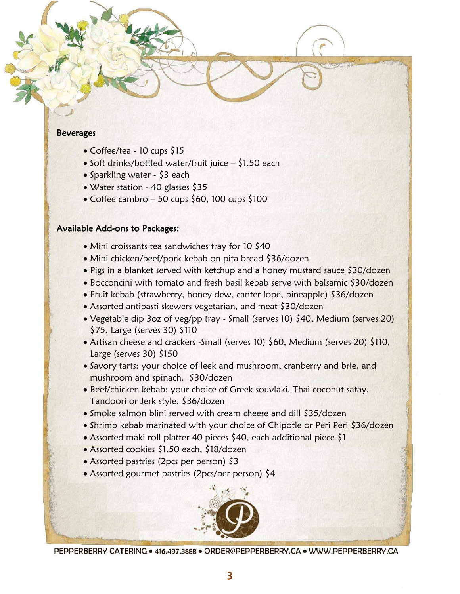#### **Beverages**

- Coffee/tea 10 cups \$15
- Soft drinks/bottled water/fruit juice  $-$  \$1.50 each
- Sparkling water \$3 each
- Water station 40 glasses \$35
- Coffee cambro 50 cups \$60, 100 cups \$100

### Available Add-ons to Packages:

- Mini croissants tea sandwiches tray for 10 \$40
- Mini chicken/beef/pork kebab on pita bread \$36/dozen
- Pigs in a blanket served with ketchup and a honey mustard sauce \$30/dozen
- Bocconcini with tomato and fresh basil kebab serve with balsamic \$30/dozen
- Fruit kebab (strawberry, honey dew, canter lope, pineapple) \$36/dozen
- Assorted antipasti skewers vegetarian, and meat \$30/dozen
- Vegetable dip 3oz of veg/pp tray Small (serves 10) \$40, Medium (serves 20) \$75, Large (serves 30) \$110
- Artisan cheese and crackers -Small (serves 10) \$60, Medium (serves 20) \$110, Large (serves 30) \$150
- Savory tarts: your choice of leek and mushroom, cranberry and brie, and mushroom and spinach. \$30/dozen
- Beef/chicken kebab: your choice of Greek souvlaki, Thai coconut satay, Tandoori or Jerk style. \$36/dozen
- Smoke salmon blini served with cream cheese and dill \$35/dozen
- Shrimp kebab marinated with your choice of Chipotle or Peri Peri \$36/dozen
- Assorted maki roll platter 40 pieces \$40, each additional piece \$1
- Assorted cookies \$1.50 each, \$18/dozen
- Assorted pastries (2pcs per person) \$3
- Assorted gourmet pastries (2pcs/per person) \$4

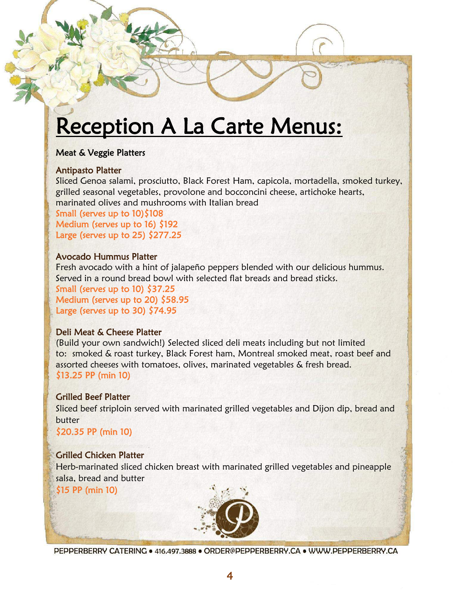# Reception A La Carte Menus:

# Meat & Veggie Platters

### Antipasto Platter

Sliced Genoa salami, prosciutto, Black Forest Ham, capicola, mortadella, smoked turkey, grilled seasonal vegetables, provolone and bocconcini cheese, artichoke hearts, marinated olives and mushrooms with Italian bread

Small (serves up to 10)\$108 Medium (serves up to 16) \$192 Large (serves up to 25) \$277.25

# Avocado Hummus Platter

Fresh avocado with a hint of jalapeño peppers blended with our delicious hummus. Served in a round bread bowl with selected flat breads and bread sticks.

Small (serves up to 10) \$37.25 Medium (serves up to 20) \$58.95 Large (serves up to 30) \$74.95

# Deli Meat & Cheese Platter

(Build your own sandwich!) Selected sliced deli meats including but not limited to: smoked & roast turkey, Black Forest ham, Montreal smoked meat, roast beef and assorted cheeses with tomatoes, olives, marinated vegetables & fresh bread. \$13.25 PP (min 10)

# Grilled Beef Platter

Sliced beef striploin served with marinated grilled vegetables and Dijon dip, bread and butter

\$20.35 PP (min 10)

# Grilled Chicken Platter

Herb-marinated sliced chicken breast with marinated grilled vegetables and pineapple salsa, bread and butter

\$15 PP (min 10)

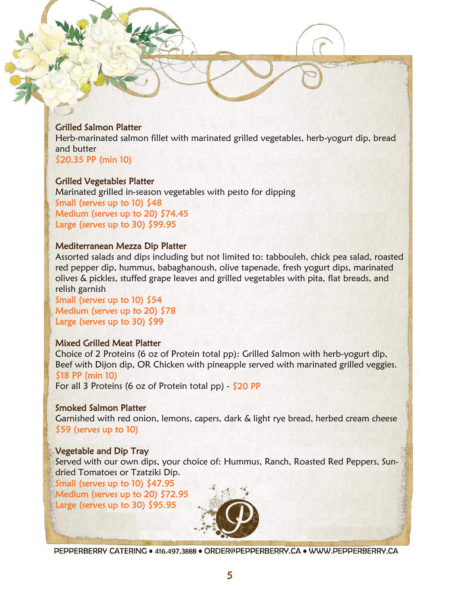### Grilled Salmon Platter

Herb-marinated salmon fillet with marinated grilled vegetables, herb-yogurt dip, bread and butter \$20.35 PP (min 10)

### Grilled Vegetables Platter

Marinated grilled in-season vegetables with pesto for dipping Small (serves up to 10) \$48 Medium (serves up to 20) \$74.45 Large (serves up to 30) \$99.95

### Mediterranean Mezza Dip Platter

Assorted salads and dips including but not limited to: tabbouleh, chick pea salad, roasted red pepper dip, hummus, babaghanoush, olive tapenade, fresh yogurt dips, marinated olives & pickles, stuffed grape leaves and grilled vegetables with pita, flat breads, and relish garnish

Small (serves up to 10) \$54 Medium (serves up to 20) \$78 Large (serves up to 30) \$99

### Mixed Grilled Meat Platter

Choice of 2 Proteins (6 oz of Protein total pp): Grilled Salmon with herb-yogurt dip, Beef with Dijon dip, OR Chicken with pineapple served with marinated grilled veggies. \$18 PP (min 10) For all 3 Proteins (6 oz of Protein total pp)  $-$  \$20 PP

### Smoked Salmon Platter

Garnished with red onion, lemons, capers, dark & light rye bread, herbed cream cheese \$59 (serves up to 10)

# Vegetable and Dip Tray

Served with our own dips, your choice of: Hummus, Ranch, Roasted Red Peppers, Sundried Tomatoes or Tzatziki Dip.

Small (serves up to 10) \$47.95 Medium (serves up to 20) \$72.95 Large (serves up to 30) \$95.95

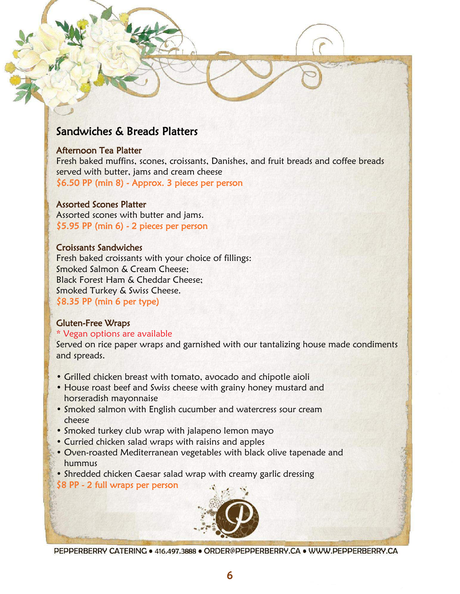# Sandwiches & Breads Platters

### Afternoon Tea Platter

Fresh baked muffins, scones, croissants, Danishes, and fruit breads and coffee breads served with butter, jams and cream cheese \$6.50 PP (min 8) - Approx. 3 pieces per person

### Assorted Scones Platter

Assorted scones with butter and jams. \$5.95 PP (min 6) - 2 pieces per person

### Croissants Sandwiches

Fresh baked croissants with your choice of fillings: Smoked Salmon & Cream Cheese; Black Forest Ham & Cheddar Cheese; Smoked Turkey & Swiss Cheese. \$8.35 PP (min 6 per type)

# Gluten-Free Wraps

### \* Vegan options are available

Served on rice paper wraps and garnished with our tantalizing house made condiments and spreads.

- Grilled chicken breast with tomato, avocado and chipotle aioli
- House roast beef and Swiss cheese with grainy honey mustard and horseradish mayonnaise
- Smoked salmon with English cucumber and watercress sour cream cheese
- Smoked turkey club wrap with jalapeno lemon mayo
- Curried chicken salad wraps with raisins and apples
- Oven-roasted Mediterranean vegetables with black olive tapenade and hummus
- Shredded chicken Caesar salad wrap with creamy garlic dressing

\$8 PP - 2 full wraps per person

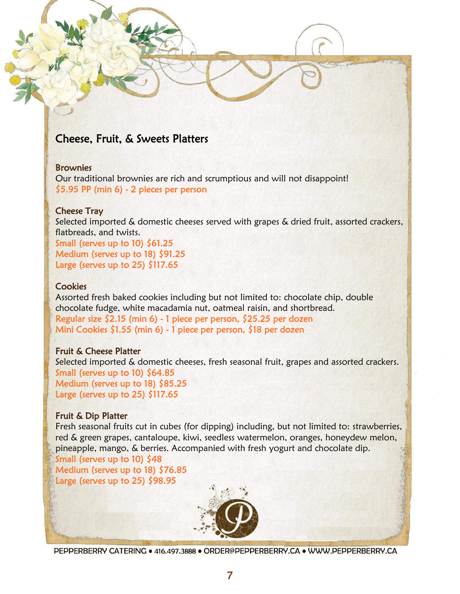# Cheese, Fruit, & Sweets Platters

### **Brownies**

Our traditional brownies are rich and scrumptious and will not disappoint! \$5.95 PP (min 6) - 2 pieces per person

#### Cheese Tray

Selected imported & domestic cheeses served with grapes & dried fruit, assorted crackers, flatbreads, and twists.

Small (serves up to 10) \$61.25 Medium (serves up to 18) \$91.25 Large (serves up to 25) \$117.65

#### **Cookies**

Assorted fresh baked cookies including but not limited to: chocolate chip, double chocolate fudge, white macadamia nut, oatmeal raisin, and shortbread. Regular size \$2.15 (min 6) - 1 piece per person, \$25.25 per dozen Mini Cookies \$1.55 (min 6) - 1 piece per person, \$18 per dozen

### Fruit & Cheese Platter

Selected imported & domestic cheeses, fresh seasonal fruit, grapes and assorted crackers. Small (serves up to 10) \$64.85 Medium (serves up to 18) \$85.25 Large (serves up to  $25)$  \$117.65

#### Fruit & Dip Platter

Fresh seasonal fruits cut in cubes (for dipping) including, but not limited to: strawberries, red & green grapes, cantaloupe, kiwi, seedless watermelon, oranges, honeydew melon, pineapple, mango, & berries. Accompanied with fresh yogurt and chocolate dip.

Small (serves up to 10) \$48 Medium (serves up to 18) \$76.85 Large (serves up to 25) \$98.95

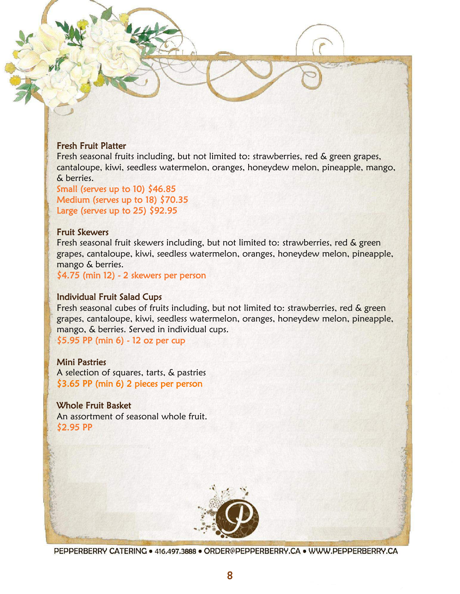### Fresh Fruit Platter

Fresh seasonal fruits including, but not limited to: strawberries, red & green grapes, cantaloupe, kiwi, seedless watermelon, oranges, honeydew melon, pineapple, mango, & berries.

Small (serves up to 10)  $$46.85$ Medium (serves up to 18) \$70.35 Large (serves up to 25) \$92.95

#### Fruit Skewers

Fresh seasonal fruit skewers including, but not limited to: strawberries, red & green grapes, cantaloupe, kiwi, seedless watermelon, oranges, honeydew melon, pineapple, mango & berries.

\$4.75 (min 12) - 2 skewers per person

### Individual Fruit Salad Cups

Fresh seasonal cubes of fruits including, but not limited to: strawberries, red & green grapes, cantaloupe, kiwi, seedless watermelon, oranges, honeydew melon, pineapple, mango, & berries. Served in individual cups.

\$5.95 PP (min 6) - 12 oz per cup

### Mini Pastries

A selection of squares, tarts, & pastries \$3.65 PP (min 6) 2 pieces per person

### Whole Fruit Basket

An assortment of seasonal whole fruit. \$2.95 PP

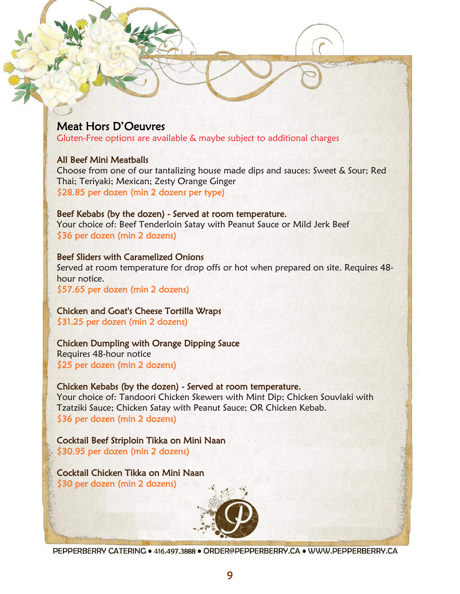# Meat Hors D'Oeuvres

Gluten-Free options are available & maybe subject to additional charges

### All Beef Mini Meatballs

Choose from one of our tantalizing house made dips and sauces: Sweet & Sour; Red Thai; Teriyaki; Mexican; Zesty Orange Ginger \$28.85 per dozen (min 2 dozens per type)

# Beef Kebabs (by the dozen) - Served at room temperature.

Your choice of: Beef Tenderloin Satay with Peanut Sauce or Mild Jerk Beef \$36 per dozen (min 2 dozens)

### Beef Sliders with Caramelized Onions

Served at room temperature for drop offs or hot when prepared on site. Requires 48 hour notice.

\$57.65 per dozen (min 2 dozens)

### Chicken and Goat's Cheese Tortilla Wraps \$31.25 per dozen (min 2 dozens)

Chicken Dumpling with Orange Dipping Sauce Requires 48-hour notice \$25 per dozen (min 2 dozens)

# Chicken Kebabs (by the dozen) - Served at room temperature. Your choice of: Tandoori Chicken Skewers with Mint Dip; Chicken Souvlaki with Tzatziki Sauce; Chicken Satay with Peanut Sauce; OR Chicken Kebab.

\$36 per dozen (min 2 dozens)

Cocktail Beef Striploin Tikka on Mini Naan \$30.95 per dozen (min 2 dozens)

Cocktail Chicken Tikka on Mini Naan \$30 per dozen (min 2 dozens)

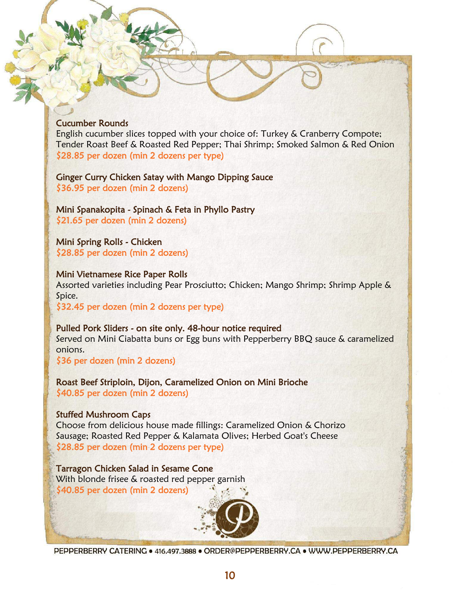### Cucumber Rounds

English cucumber slices topped with your choice of: Turkey & Cranberry Compote; Tender Roast Beef & Roasted Red Pepper; Thai Shrimp; Smoked Salmon & Red Onion \$28.85 per dozen (min 2 dozens per type)

Ginger Curry Chicken Satay with Mango Dipping Sauce \$36.95 per dozen (min 2 dozens)

Mini Spanakopita - Spinach & Feta in Phyllo Pastry \$21.65 per dozen (min 2 dozens)

Mini Spring Rolls - Chicken \$28.85 per dozen (min 2 dozens)

#### Mini Vietnamese Rice Paper Rolls

Assorted varieties including Pear Prosciutto; Chicken; Mango Shrimp; Shrimp Apple & Spice.

\$32.45 per dozen (min 2 dozens per type)

#### Pulled Pork Sliders - on site only. 48-hour notice required

Served on Mini Ciabatta buns or Egg buns with Pepperberry BBQ sauce & caramelized onions.

\$36 per dozen (min 2 dozens)

Roast Beef Striploin, Dijon, Caramelized Onion on Mini Brioche \$40.85 per dozen (min 2 dozens)

### Stuffed Mushroom Caps

Choose from delicious house made fillings: Caramelized Onion & Chorizo Sausage; Roasted Red Pepper & Kalamata Olives; Herbed Goat's Cheese \$28.85 per dozen (min 2 dozens per type)

Tarragon Chicken Salad in Sesame Cone With blonde frisee & roasted red pepper garnish \$40.85 per dozen (min 2 dozens)

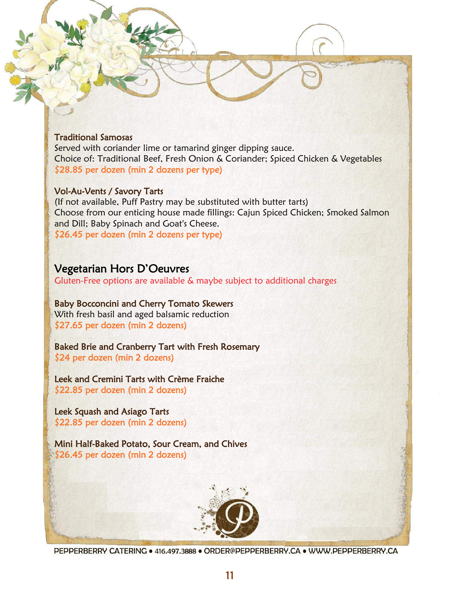### Traditional Samosas

Served with coriander lime or tamarind ginger dipping sauce. Choice of: Traditional Beef, Fresh Onion & Coriander; Spiced Chicken & Vegetables \$28.85 per dozen (min 2 dozens per type)

### Vol-Au-Vents / Savory Tarts

(If not available, Puff Pastry may be substituted with butter tarts) Choose from our enticing house made fillings: Cajun Spiced Chicken; Smoked Salmon and Dill; Baby Spinach and Goat's Cheese. \$26.45 per dozen (min 2 dozens per type)

# Vegetarian Hors D'Oeuvres

Gluten-Free options are available & maybe subject to additional charges

Baby Bocconcini and Cherry Tomato Skewers With fresh basil and aged balsamic reduction \$27.65 per dozen (min 2 dozens)

Baked Brie and Cranberry Tart with Fresh Rosemary \$24 per dozen (min 2 dozens)

Leek and Cremini Tarts with Crème Fraiche \$22.85 per dozen (min 2 dozens)

Leek Squash and Asiago Tarts \$22.85 per dozen (min 2 dozens)

Mini Half-Baked Potato, Sour Cream, and Chives \$26.45 per dozen (min 2 dozens)